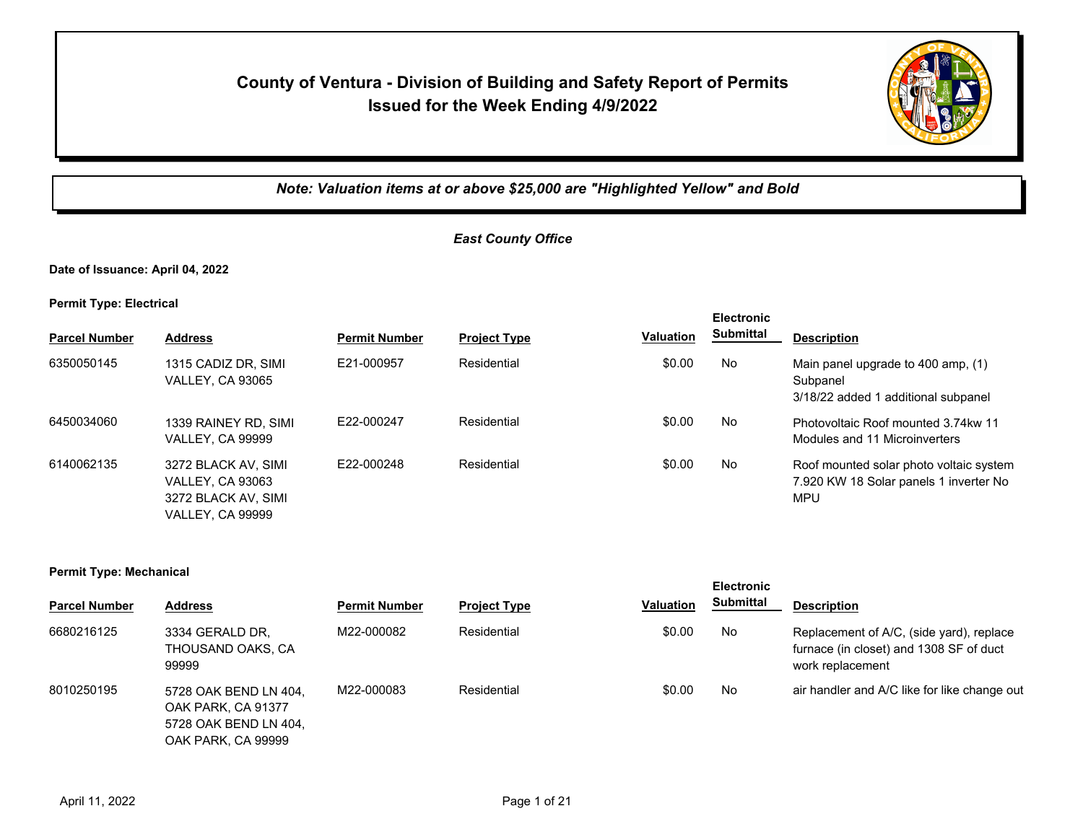# **County of Ventura - Division of Building and Safety Report of Permits Issued for the Week Ending 4/9/2022**



*Note: Valuation items at or above \$25,000 are "Highlighted Yellow" and Bold*

## *East County Office*

**Date of Issuance: April 04, 2022**

**Permit Type: Electrical**

|                      |                                                                                                  |                      |                     |                  | <b>Electronic</b> |                                                                                          |
|----------------------|--------------------------------------------------------------------------------------------------|----------------------|---------------------|------------------|-------------------|------------------------------------------------------------------------------------------|
| <b>Parcel Number</b> | <b>Address</b>                                                                                   | <b>Permit Number</b> | <b>Project Type</b> | <b>Valuation</b> | Submittal         | <b>Description</b>                                                                       |
| 6350050145           | 1315 CADIZ DR, SIMI<br><b>VALLEY, CA 93065</b>                                                   | E21-000957           | Residential         | \$0.00           | No                | Main panel upgrade to 400 amp, (1)<br>Subpanel<br>3/18/22 added 1 additional subpanel    |
| 6450034060           | 1339 RAINEY RD. SIMI<br><b>VALLEY, CA 99999</b>                                                  | F22-000247           | Residential         | \$0.00           | No.               | Photovoltaic Roof mounted 3.74 kw 11<br>Modules and 11 Microinverters                    |
| 6140062135           | 3272 BLACK AV, SIMI<br><b>VALLEY, CA 93063</b><br>3272 BLACK AV, SIMI<br><b>VALLEY, CA 99999</b> | E22-000248           | Residential         | \$0.00           | No                | Roof mounted solar photo voltaic system<br>7.920 KW 18 Solar panels 1 inverter No<br>MPU |

#### **Permit Type: Mechanical**

| <b>Parcel Number</b> | <b>Address</b>                                                                             | <b>Permit Number</b> | <b>Project Type</b> | <b>Valuation</b> | <b>Submittal</b> | <b>Description</b>                                                                                      |
|----------------------|--------------------------------------------------------------------------------------------|----------------------|---------------------|------------------|------------------|---------------------------------------------------------------------------------------------------------|
| 6680216125           | 3334 GERALD DR.<br>THOUSAND OAKS, CA<br>99999                                              | M22-000082           | Residential         | \$0.00           | No               | Replacement of A/C, (side yard), replace<br>furnace (in closet) and 1308 SF of duct<br>work replacement |
| 8010250195           | 5728 OAK BEND LN 404.<br>OAK PARK, CA 91377<br>5728 OAK BEND LN 404,<br>OAK PARK, CA 99999 | M22-000083           | Residential         | \$0.00           | No               | air handler and A/C like for like change out                                                            |

**Electronic**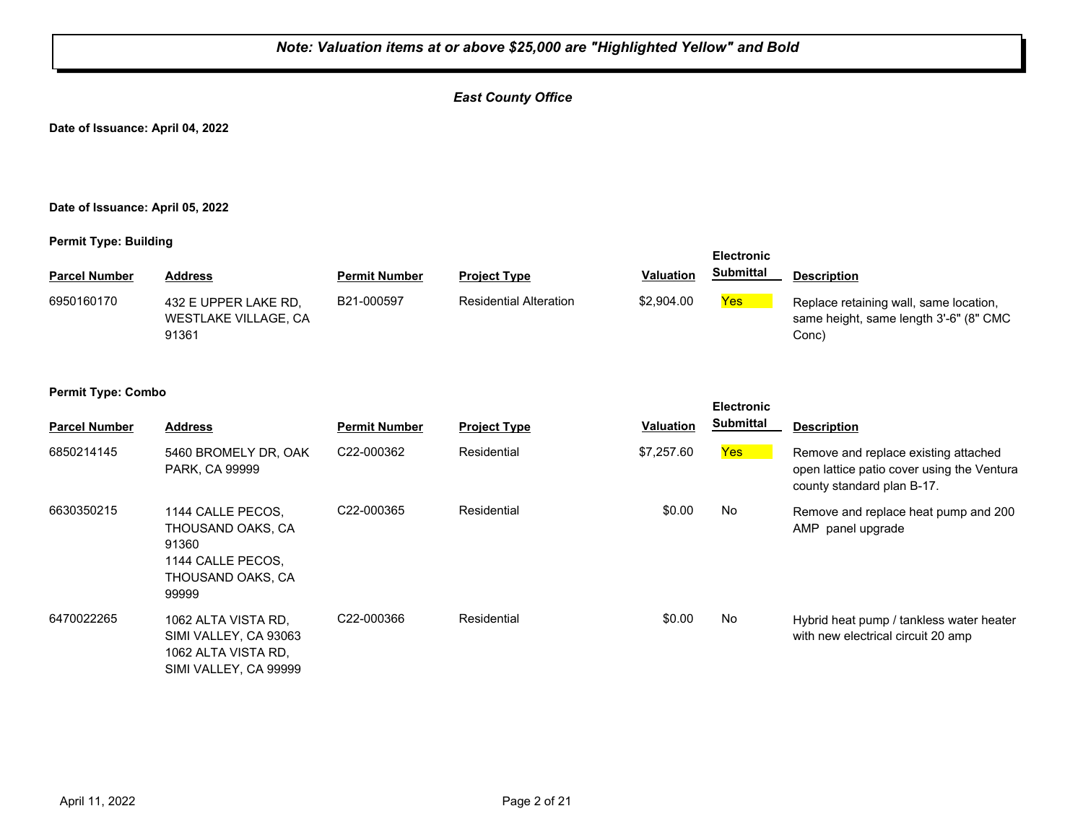## *East County Office*

**Date of Issuance: April 04, 2022**

#### **Date of Issuance: April 05, 2022**

#### **Permit Type: Building**

|                      |                                                       |                      |                               |                  | <b>Electronic</b> |                                                                                           |
|----------------------|-------------------------------------------------------|----------------------|-------------------------------|------------------|-------------------|-------------------------------------------------------------------------------------------|
| <b>Parcel Number</b> | <b>Address</b>                                        | <b>Permit Number</b> | <b>Project Type</b>           | <b>Valuation</b> | <b>Submittal</b>  | <b>Description</b>                                                                        |
| 6950160170           | 432 E UPPER LAKE RD.<br>WESTLAKE VILLAGE, CA<br>91361 | B21-000597           | <b>Residential Alteration</b> | \$2,904.00       | Yes               | Replace retaining wall, same location,<br>same height, same length 3'-6" (8" CMC<br>Conc) |

| <b>Parcel Number</b> | <b>Address</b>                                                                                     | <b>Permit Number</b>    | <b>Project Type</b> | <b>Valuation</b> | <b>Electronic</b><br><b>Submittal</b> | <b>Description</b>                                                                                               |
|----------------------|----------------------------------------------------------------------------------------------------|-------------------------|---------------------|------------------|---------------------------------------|------------------------------------------------------------------------------------------------------------------|
| 6850214145           | 5460 BROMELY DR, OAK<br>PARK, CA 99999                                                             | C <sub>22</sub> -000362 | Residential         | \$7,257.60       | <b>Yes</b>                            | Remove and replace existing attached<br>open lattice patio cover using the Ventura<br>county standard plan B-17. |
| 6630350215           | 1144 CALLE PECOS.<br>THOUSAND OAKS, CA<br>91360<br>1144 CALLE PECOS,<br>THOUSAND OAKS, CA<br>99999 | C <sub>22</sub> -000365 | Residential         | \$0.00           | No                                    | Remove and replace heat pump and 200<br>AMP panel upgrade                                                        |
| 6470022265           | 1062 ALTA VISTA RD.<br>SIMI VALLEY, CA 93063<br>1062 ALTA VISTA RD.<br>SIMI VALLEY, CA 99999       | C22-000366              | Residential         | \$0.00           | No                                    | Hybrid heat pump / tankless water heater<br>with new electrical circuit 20 amp                                   |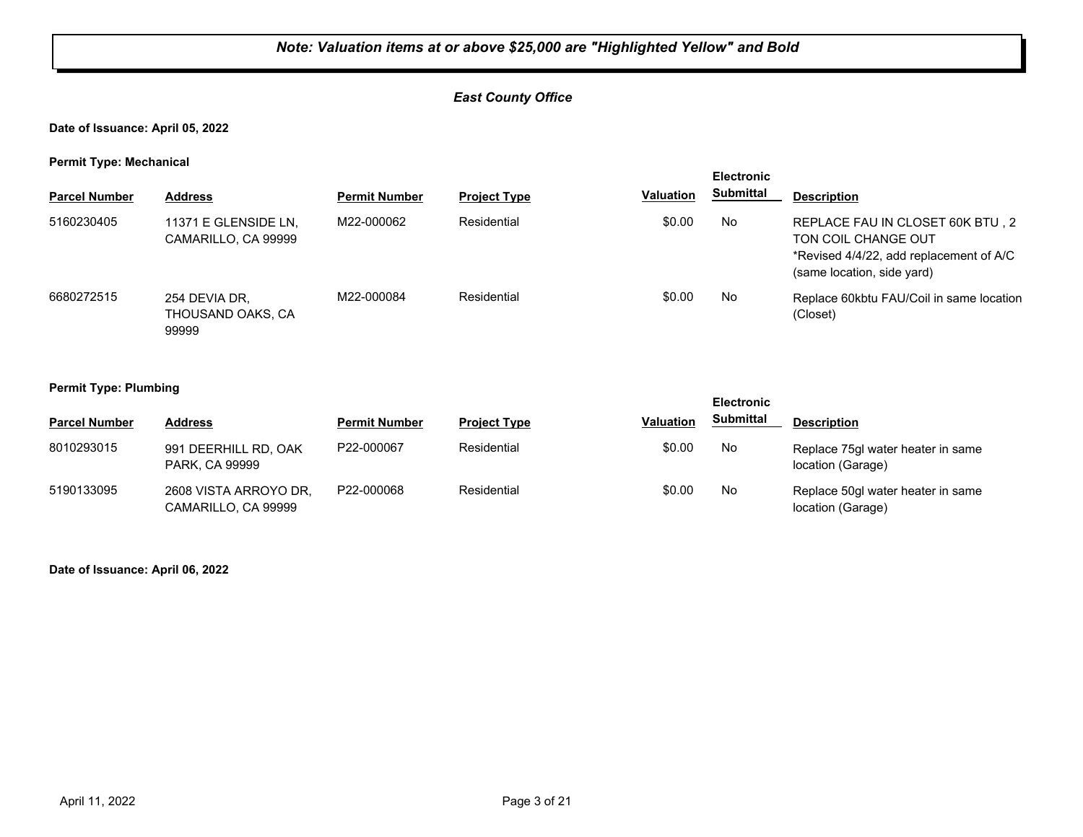## *East County Office*

#### **Date of Issuance: April 05, 2022**

**Permit Type: Mechanical**

| . .                  |                                             |                      |                     |                  | <b>Electronic</b> |                                                                                                                                  |
|----------------------|---------------------------------------------|----------------------|---------------------|------------------|-------------------|----------------------------------------------------------------------------------------------------------------------------------|
| <b>Parcel Number</b> | <b>Address</b>                              | <b>Permit Number</b> | <b>Project Type</b> | <b>Valuation</b> | Submittal         | <b>Description</b>                                                                                                               |
| 5160230405           | 11371 E GLENSIDE LN,<br>CAMARILLO, CA 99999 | M22-000062           | Residential         | \$0.00           | No                | REPLACE FAU IN CLOSET 60K BTU, 2<br>TON COIL CHANGE OUT<br>*Revised 4/4/22, add replacement of A/C<br>(same location, side yard) |
| 6680272515           | 254 DEVIA DR.<br>THOUSAND OAKS, CA<br>99999 | M22-000084           | Residential         | \$0.00           | No                | Replace 60kbtu FAU/Coil in same location<br>(Closet)                                                                             |

#### **Permit Type: Plumbing**

| --                   |                                              |                      |                     |                  | <b>Electronic</b> |                                                        |
|----------------------|----------------------------------------------|----------------------|---------------------|------------------|-------------------|--------------------------------------------------------|
| <b>Parcel Number</b> | <b>Address</b>                               | <b>Permit Number</b> | <b>Project Type</b> | <b>Valuation</b> | <b>Submittal</b>  | <b>Description</b>                                     |
| 8010293015           | 991 DEERHILL RD, OAK<br>PARK, CA 99999       | P22-000067           | Residential         | \$0.00           | No                | Replace 75gl water heater in same<br>location (Garage) |
| 5190133095           | 2608 VISTA ARROYO DR,<br>CAMARILLO, CA 99999 | P22-000068           | Residential         | \$0.00           | No                | Replace 50gl water heater in same<br>location (Garage) |

**Date of Issuance: April 06, 2022**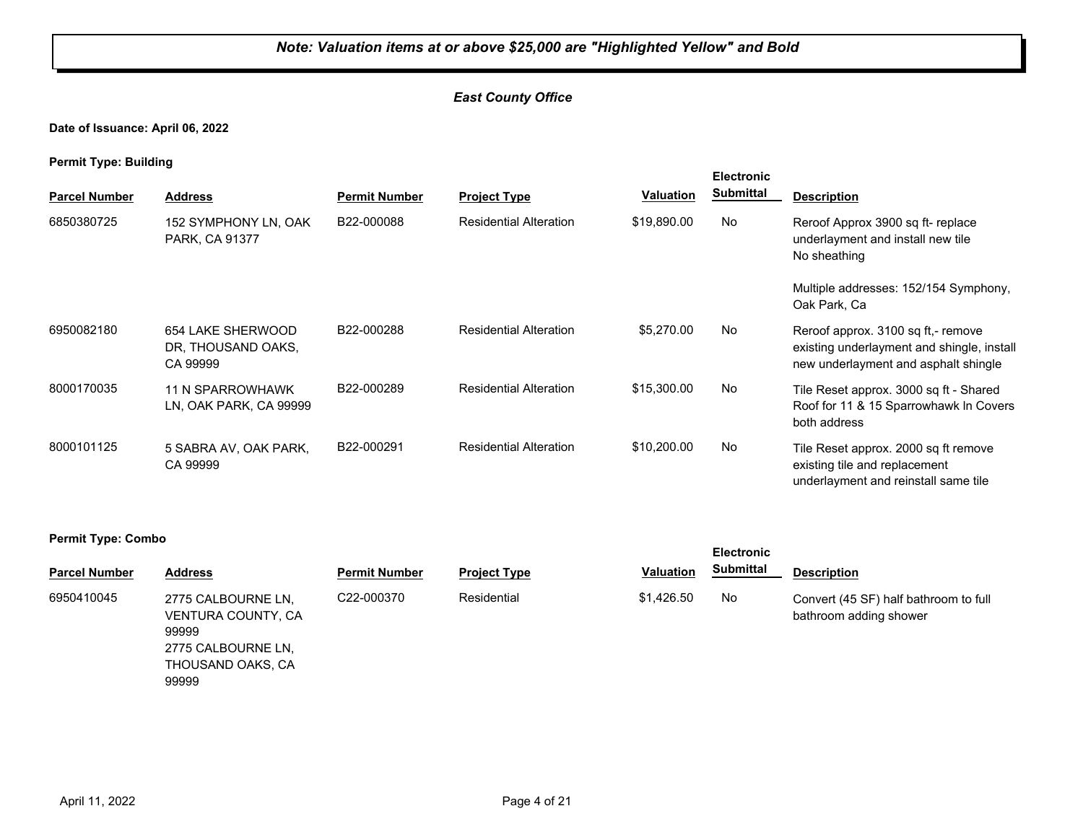## *East County Office*

**Date of Issuance: April 06, 2022**

**Permit Type: Building**

| . .<br><b>Parcel Number</b> | <b>Address</b>                                      | <b>Permit Number</b> | <b>Project Type</b>           | <b>Valuation</b> | <b>Electronic</b><br><b>Submittal</b> | <b>Description</b>                                                                                                       |
|-----------------------------|-----------------------------------------------------|----------------------|-------------------------------|------------------|---------------------------------------|--------------------------------------------------------------------------------------------------------------------------|
| 6850380725                  | 152 SYMPHONY LN, OAK<br>PARK, CA 91377              | B22-000088           | <b>Residential Alteration</b> | \$19,890.00      | No                                    | Reroof Approx 3900 sq ft-replace<br>underlayment and install new tile<br>No sheathing                                    |
|                             |                                                     |                      |                               |                  |                                       | Multiple addresses: 152/154 Symphony,<br>Oak Park, Ca                                                                    |
| 6950082180                  | 654 LAKE SHERWOOD<br>DR, THOUSAND OAKS,<br>CA 99999 | B22-000288           | <b>Residential Alteration</b> | \$5,270.00       | No                                    | Reroof approx. 3100 sq ft,- remove<br>existing underlayment and shingle, install<br>new underlayment and asphalt shingle |
| 8000170035                  | 11 N SPARROWHAWK<br>LN, OAK PARK, CA 99999          | B22-000289           | <b>Residential Alteration</b> | \$15,300.00      | No                                    | Tile Reset approx. 3000 sq ft - Shared<br>Roof for 11 & 15 Sparrowhawk In Covers<br>both address                         |
| 8000101125                  | 5 SABRA AV, OAK PARK,<br>CA 99999                   | B22-000291           | <b>Residential Alteration</b> | \$10,200.00      | No                                    | Tile Reset approx. 2000 sq ft remove<br>existing tile and replacement<br>underlayment and reinstall same tile            |

#### **Permit Type: Combo**

| <b>Parcel Number</b> | <b>Address</b>                                                                                        | <b>Permit Number</b> | <b>Project Type</b> | Valuation  | <b>Submittal</b> | <b>Description</b>                                              |
|----------------------|-------------------------------------------------------------------------------------------------------|----------------------|---------------------|------------|------------------|-----------------------------------------------------------------|
| 6950410045           | 2775 CALBOURNE LN.<br>VENTURA COUNTY, CA<br>99999<br>2775 CALBOURNE LN.<br>THOUSAND OAKS, CA<br>99999 | C22-000370           | Residential         | \$1.426.50 | No.              | Convert (45 SF) half bathroom to full<br>bathroom adding shower |

**Electronic**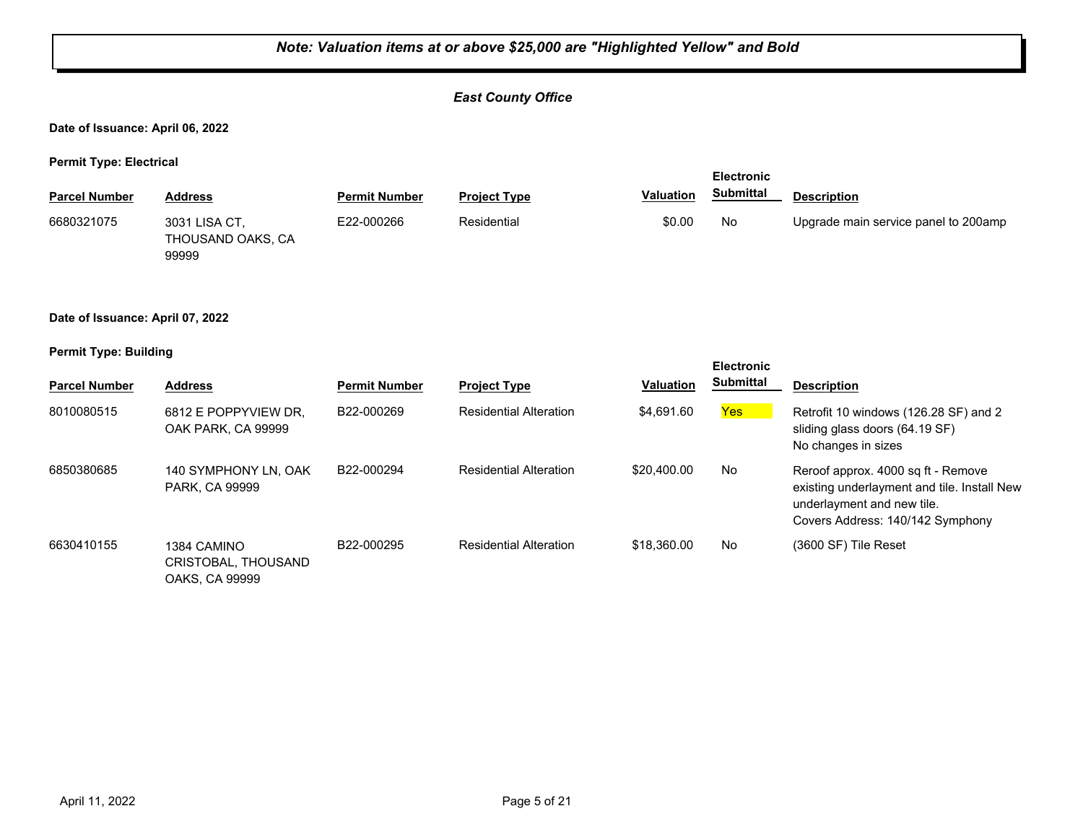## *East County Office*

**Date of Issuance: April 06, 2022**

**Permit Type: Electrical**

|                      |                                    |                      |                     | <b>Electronic</b> |                  |                                      |
|----------------------|------------------------------------|----------------------|---------------------|-------------------|------------------|--------------------------------------|
| <b>Parcel Number</b> | Address                            | <b>Permit Number</b> | <b>Project Type</b> | <b>Valuation</b>  | <b>Submittal</b> | <b>Description</b>                   |
| 6680321075           | 3031 LISA CT.<br>THOUSAND OAKS, CA | E22-000266           | Residential         | \$0.00            | No               | Upgrade main service panel to 200amp |

**Date of Issuance: April 07, 2022**

99999

#### **Permit Type: Building**

| <b>Parcel Number</b> | <b>Address</b>                                       | <b>Permit Number</b> | <b>Project Type</b>           | <b>Valuation</b> | <b>Electronic</b><br><b>Submittal</b> | <b>Description</b>                                                                                                                                  |
|----------------------|------------------------------------------------------|----------------------|-------------------------------|------------------|---------------------------------------|-----------------------------------------------------------------------------------------------------------------------------------------------------|
| 8010080515           | 6812 E POPPYVIEW DR.<br>OAK PARK, CA 99999           | B22-000269           | <b>Residential Alteration</b> | \$4.691.60       | Yes                                   | Retrofit 10 windows (126.28 SF) and 2<br>sliding glass doors (64.19 SF)<br>No changes in sizes                                                      |
| 6850380685           | 140 SYMPHONY LN. OAK<br>PARK, CA 99999               | B22-000294           | <b>Residential Alteration</b> | \$20,400.00      | No                                    | Reroof approx. 4000 sq ft - Remove<br>existing underlayment and tile. Install New<br>underlayment and new tile.<br>Covers Address: 140/142 Symphony |
| 6630410155           | 1384 CAMINO<br>CRISTOBAL, THOUSAND<br>OAKS, CA 99999 | B22-000295           | <b>Residential Alteration</b> | \$18,360.00      | No                                    | (3600 SF) Tile Reset                                                                                                                                |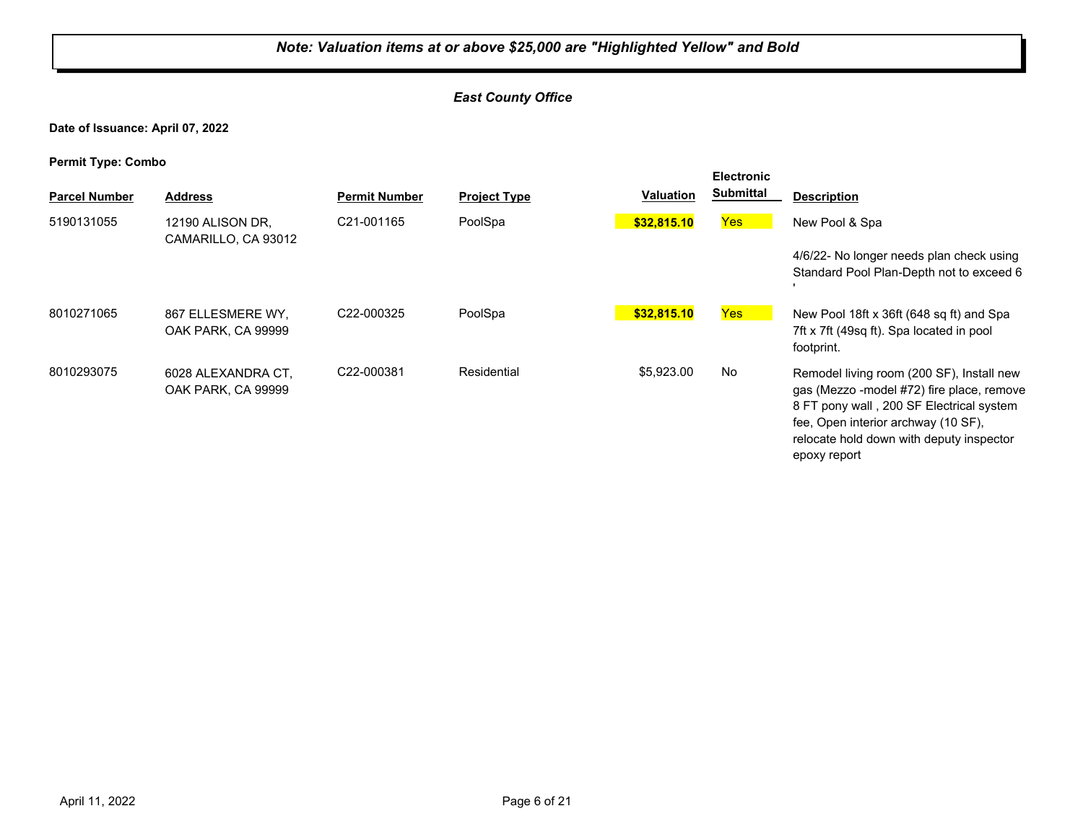## *East County Office*

**Date of Issuance: April 07, 2022**

| . .<br><b>Parcel Number</b> | <b>Address</b>                           | <b>Permit Number</b> | <b>Project Type</b> | <b>Valuation</b> | <b>Electronic</b><br><b>Submittal</b> | <b>Description</b>                                                                                                                                                                                                                    |
|-----------------------------|------------------------------------------|----------------------|---------------------|------------------|---------------------------------------|---------------------------------------------------------------------------------------------------------------------------------------------------------------------------------------------------------------------------------------|
| 5190131055                  | 12190 ALISON DR.<br>CAMARILLO, CA 93012  | C21-001165           | PoolSpa             | \$32,815.10      | Yes                                   | New Pool & Spa<br>4/6/22- No longer needs plan check using<br>Standard Pool Plan-Depth not to exceed 6                                                                                                                                |
| 8010271065                  | 867 ELLESMERE WY.<br>OAK PARK, CA 99999  | C22-000325           | PoolSpa             | \$32,815.10      | Yes                                   | New Pool 18ft x 36ft (648 sq ft) and Spa<br>7ft x 7ft (49sq ft). Spa located in pool<br>footprint.                                                                                                                                    |
| 8010293075                  | 6028 ALEXANDRA CT.<br>OAK PARK, CA 99999 | C22-000381           | Residential         | \$5,923.00       | No                                    | Remodel living room (200 SF), Install new<br>gas (Mezzo -model #72) fire place, remove<br>8 FT pony wall, 200 SF Electrical system<br>fee, Open interior archway (10 SF),<br>relocate hold down with deputy inspector<br>epoxy report |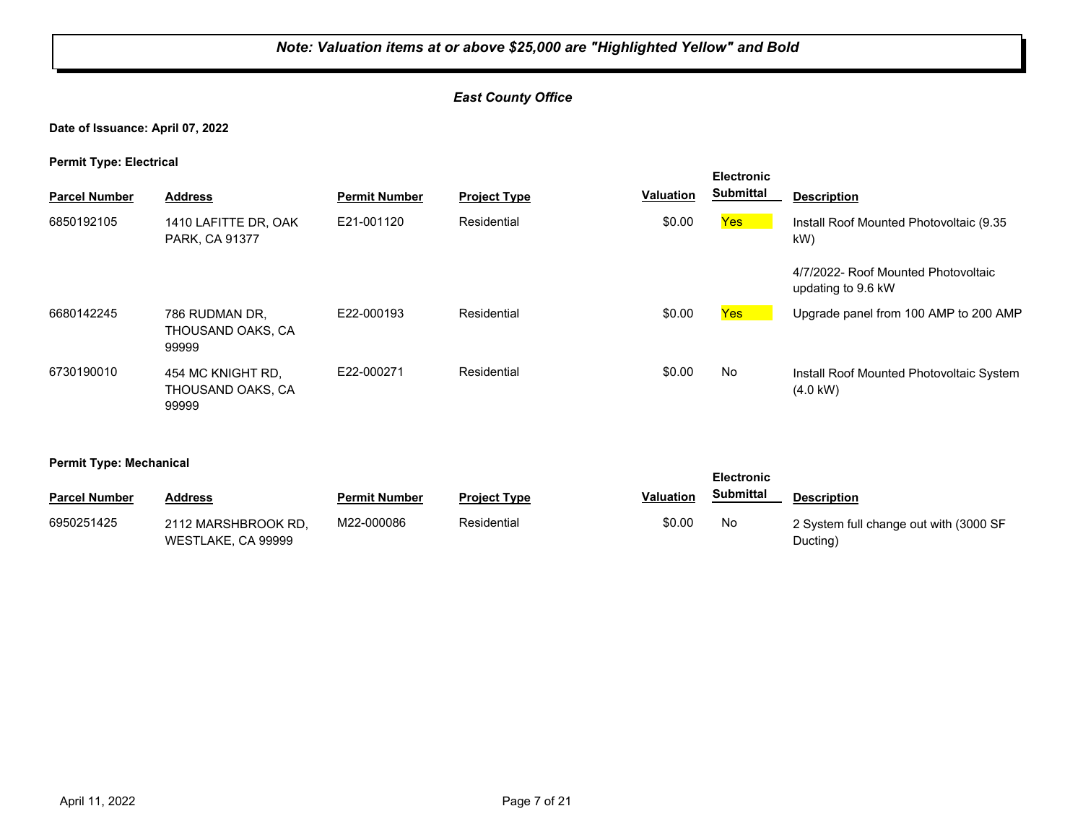## *East County Office*

#### **Date of Issuance: April 07, 2022**

**Permit Type: Electrical**

| . .                  |                                                 |                      |                     |                  | <b>Electronic</b> |                                                                |
|----------------------|-------------------------------------------------|----------------------|---------------------|------------------|-------------------|----------------------------------------------------------------|
| <b>Parcel Number</b> | <b>Address</b>                                  | <b>Permit Number</b> | <b>Project Type</b> | <b>Valuation</b> | <b>Submittal</b>  | <b>Description</b>                                             |
| 6850192105           | 1410 LAFITTE DR, OAK<br>PARK, CA 91377          | E21-001120           | Residential         | \$0.00           | Yes               | Install Roof Mounted Photovoltaic (9.35<br>kW)                 |
|                      |                                                 |                      |                     |                  |                   | 4/7/2022- Roof Mounted Photovoltaic<br>updating to 9.6 kW      |
| 6680142245           | 786 RUDMAN DR.<br>THOUSAND OAKS, CA<br>99999    | E22-000193           | Residential         | \$0.00           | Yes               | Upgrade panel from 100 AMP to 200 AMP                          |
| 6730190010           | 454 MC KNIGHT RD.<br>THOUSAND OAKS, CA<br>99999 | E22-000271           | Residential         | \$0.00           | No                | Install Roof Mounted Photovoltaic System<br>$(4.0 \text{ kW})$ |

#### **Permit Type: Mechanical**

|                      |                                           |                      |                     |           | <b>Electronic</b> |                                                    |  |
|----------------------|-------------------------------------------|----------------------|---------------------|-----------|-------------------|----------------------------------------------------|--|
| <b>Parcel Number</b> | Address                                   | <b>Permit Number</b> | <b>Project Type</b> | Valuation | <b>Submittal</b>  | <b>Description</b>                                 |  |
| 6950251425           | 2112 MARSHBROOK RD.<br>WESTLAKE, CA 99999 | M22-000086           | Residential         | \$0.00    | No                | 2 System full change out with (3000 SF<br>Ducting) |  |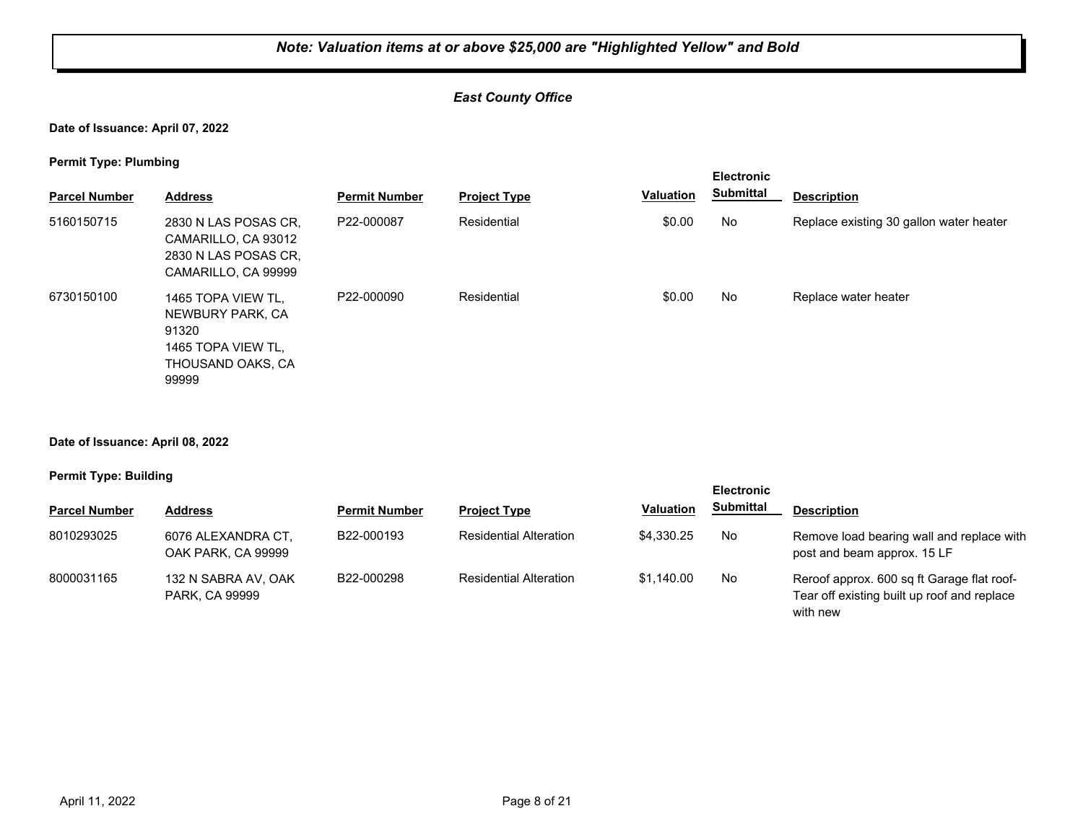## *East County Office*

#### **Date of Issuance: April 07, 2022**

**Permit Type: Plumbing**

|                      |                                                                                                     |                      |                     |           | <b>Electronic</b><br><b>Submittal</b> | <b>Description</b>                      |
|----------------------|-----------------------------------------------------------------------------------------------------|----------------------|---------------------|-----------|---------------------------------------|-----------------------------------------|
| <b>Parcel Number</b> | <b>Address</b>                                                                                      | <b>Permit Number</b> | <b>Project Type</b> | Valuation |                                       |                                         |
| 5160150715           | 2830 N LAS POSAS CR,<br>CAMARILLO, CA 93012<br>2830 N LAS POSAS CR.<br>CAMARILLO, CA 99999          | P22-000087           | Residential         | \$0.00    | <b>No</b>                             | Replace existing 30 gallon water heater |
| 6730150100           | 1465 TOPA VIEW TL.<br>NEWBURY PARK, CA<br>91320<br>1465 TOPA VIEW TL.<br>THOUSAND OAKS, CA<br>99999 | P22-000090           | Residential         | \$0.00    | No                                    | Replace water heater                    |

#### **Date of Issuance: April 08, 2022**

#### **Permit Type: Building**

|                      |                                              |                      |                               |                  | <b>Electronic</b> |                                                                                                       |
|----------------------|----------------------------------------------|----------------------|-------------------------------|------------------|-------------------|-------------------------------------------------------------------------------------------------------|
| <b>Parcel Number</b> | <b>Address</b>                               | <b>Permit Number</b> | <b>Project Type</b>           | <b>Valuation</b> | <b>Submittal</b>  | <b>Description</b>                                                                                    |
| 8010293025           | 6076 ALEXANDRA CT.<br>OAK PARK, CA 99999     | B22-000193           | <b>Residential Alteration</b> | \$4,330.25       | No                | Remove load bearing wall and replace with<br>post and beam approx. 15 LF                              |
| 8000031165           | 132 N SABRA AV, OAK<br><b>PARK, CA 99999</b> | B22-000298           | <b>Residential Alteration</b> | \$1.140.00       | No                | Reroof approx. 600 sq ft Garage flat roof-<br>Tear off existing built up roof and replace<br>with new |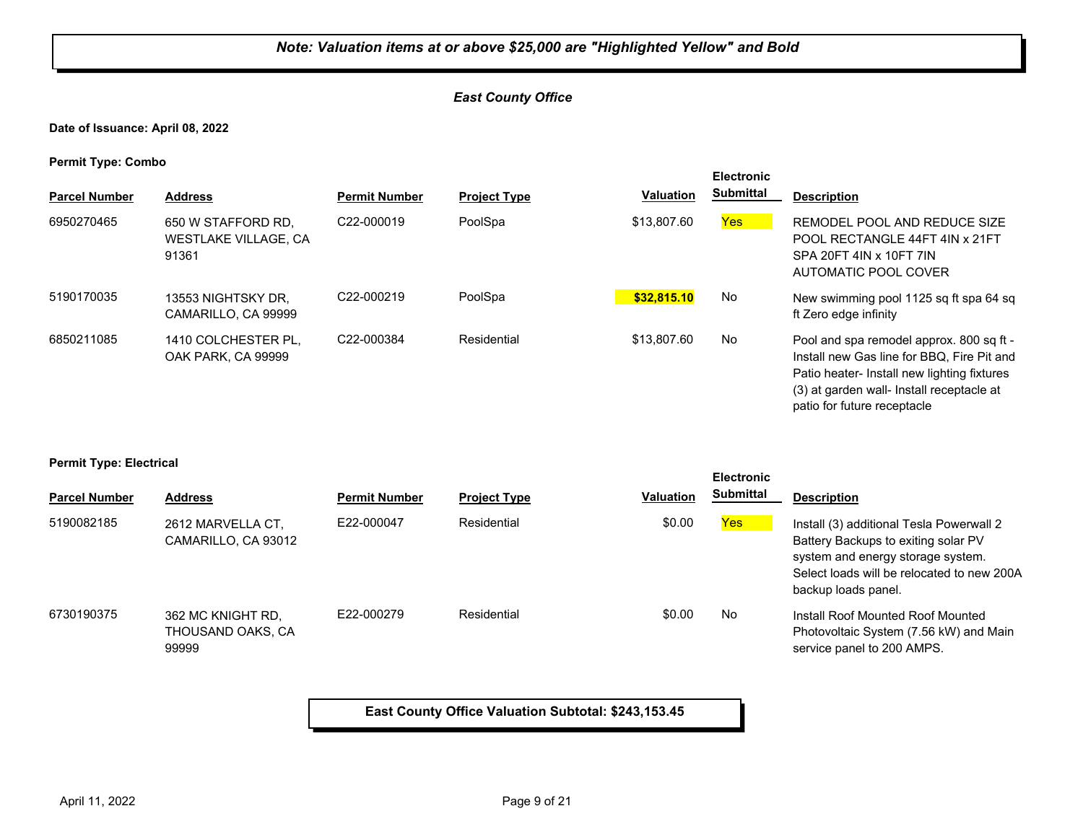## *East County Office*

**Date of Issuance: April 08, 2022**

**Permit Type: Combo**

| <b>Parcel Number</b> | <b>Address</b>                                             | <b>Permit Number</b> | <b>Project Type</b> | <b>Valuation</b> | <b>Electronic</b><br><b>Submittal</b> | <b>Description</b>                                                                                                                                                                                                |
|----------------------|------------------------------------------------------------|----------------------|---------------------|------------------|---------------------------------------|-------------------------------------------------------------------------------------------------------------------------------------------------------------------------------------------------------------------|
| 6950270465           | 650 W STAFFORD RD.<br><b>WESTLAKE VILLAGE, CA</b><br>91361 | C22-000019           | PoolSpa             | \$13,807.60      | Yes:                                  | REMODEL POOL AND REDUCE SIZE<br>POOL RECTANGLE 44FT 4IN x 21FT<br>SPA 20FT 4IN x 10FT 7IN<br>AUTOMATIC POOL COVER                                                                                                 |
| 5190170035           | 13553 NIGHTSKY DR,<br>CAMARILLO, CA 99999                  | C22-000219           | PoolSpa             | \$32,815.10      | No                                    | New swimming pool 1125 sq ft spa 64 sq<br>ft Zero edge infinity                                                                                                                                                   |
| 6850211085           | 1410 COLCHESTER PL.<br>OAK PARK, CA 99999                  | C22-000384           | Residential         | \$13,807.60      | No                                    | Pool and spa remodel approx. 800 sq ft -<br>Install new Gas line for BBQ. Fire Pit and<br>Patio heater- Install new lighting fixtures<br>(3) at garden wall- Install receptacle at<br>patio for future receptacle |

#### **Permit Type: Electrical**

|                      |                                                 |                      |                     |                  | <b>Electronic</b> |                                                                                                                                                                                           |
|----------------------|-------------------------------------------------|----------------------|---------------------|------------------|-------------------|-------------------------------------------------------------------------------------------------------------------------------------------------------------------------------------------|
| <b>Parcel Number</b> | <b>Address</b>                                  | <b>Permit Number</b> | <b>Project Type</b> | <b>Valuation</b> | <b>Submittal</b>  | <b>Description</b>                                                                                                                                                                        |
| 5190082185           | 2612 MARVELLA CT.<br>CAMARILLO, CA 93012        | E22-000047           | Residential         | \$0.00           | Yes               | Install (3) additional Tesla Powerwall 2<br>Battery Backups to exiting solar PV<br>system and energy storage system.<br>Select loads will be relocated to new 200A<br>backup loads panel. |
| 6730190375           | 362 MC KNIGHT RD.<br>THOUSAND OAKS, CA<br>99999 | F22-000279           | Residential         | \$0.00           | No                | Install Roof Mounted Roof Mounted<br>Photovoltaic System (7.56 kW) and Main<br>service panel to 200 AMPS.                                                                                 |

**East County Office Valuation Subtotal: \$243,153.45**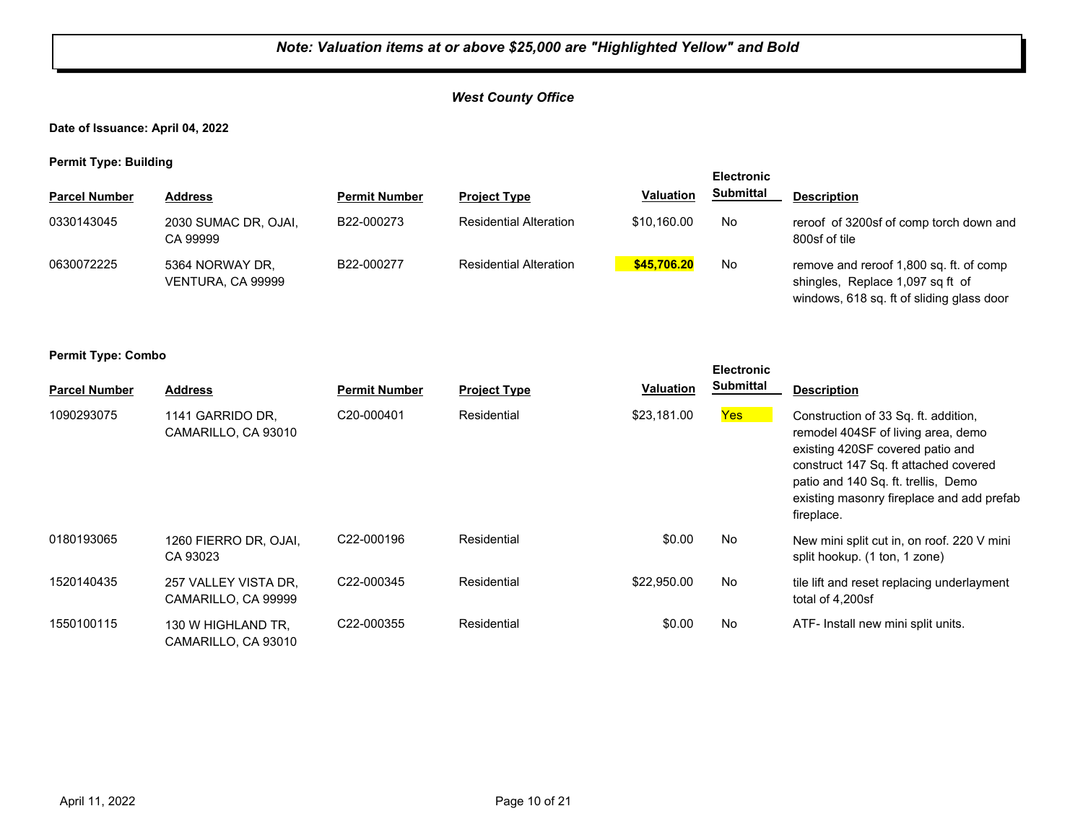## *West County Office*

**Date of Issuance: April 04, 2022**

**Permit Type: Building**

| .                    |                                      |                      |                               |                  | <b>Electronic</b> |                                                                                                                          |
|----------------------|--------------------------------------|----------------------|-------------------------------|------------------|-------------------|--------------------------------------------------------------------------------------------------------------------------|
| <b>Parcel Number</b> | <b>Address</b>                       | <b>Permit Number</b> | <b>Project Type</b>           | <b>Valuation</b> | <b>Submittal</b>  | <b>Description</b>                                                                                                       |
| 0330143045           | 2030 SUMAC DR, OJAI,<br>CA 99999     | B22-000273           | <b>Residential Alteration</b> | \$10.160.00      | No                | reroof of 3200sf of comp torch down and<br>800sf of tile                                                                 |
| 0630072225           | 5364 NORWAY DR.<br>VENTURA, CA 99999 | B22-000277           | <b>Residential Alteration</b> | \$45,706.20      | No                | remove and reroof 1,800 sq. ft. of comp<br>shingles, Replace 1,097 sq ft of<br>windows, 618 sq. ft of sliding glass door |

**Permit Type: Combo**

| <b>Parcel Number</b> | <b>Address</b>                              | <b>Permit Number</b> | <b>Project Type</b> | <b>Valuation</b> | <b>Submittal</b> | <b>Description</b>                                                                                                                                                                                                                                        |
|----------------------|---------------------------------------------|----------------------|---------------------|------------------|------------------|-----------------------------------------------------------------------------------------------------------------------------------------------------------------------------------------------------------------------------------------------------------|
| 1090293075           | 1141 GARRIDO DR.<br>CAMARILLO, CA 93010     | C20-000401           | Residential         | \$23.181.00      | Yes              | Construction of 33 Sq. ft. addition,<br>remodel 404SF of living area, demo<br>existing 420SF covered patio and<br>construct 147 Sq. ft attached covered<br>patio and 140 Sq. ft. trellis, Demo<br>existing masonry fireplace and add prefab<br>fireplace. |
| 0180193065           | 1260 FIERRO DR. OJAI.<br>CA 93023           | C22-000196           | Residential         | \$0.00           | <b>No</b>        | New mini split cut in, on roof. 220 V mini<br>split hookup. (1 ton, 1 zone)                                                                                                                                                                               |
| 1520140435           | 257 VALLEY VISTA DR.<br>CAMARILLO, CA 99999 | C22-000345           | Residential         | \$22,950.00      | <b>No</b>        | tile lift and reset replacing underlayment<br>total of 4.200sf                                                                                                                                                                                            |
| 1550100115           | 130 W HIGHLAND TR.<br>CAMARILLO, CA 93010   | C22-000355           | Residential         | \$0.00           | <b>No</b>        | ATF- Install new mini split units.                                                                                                                                                                                                                        |

**Electronic**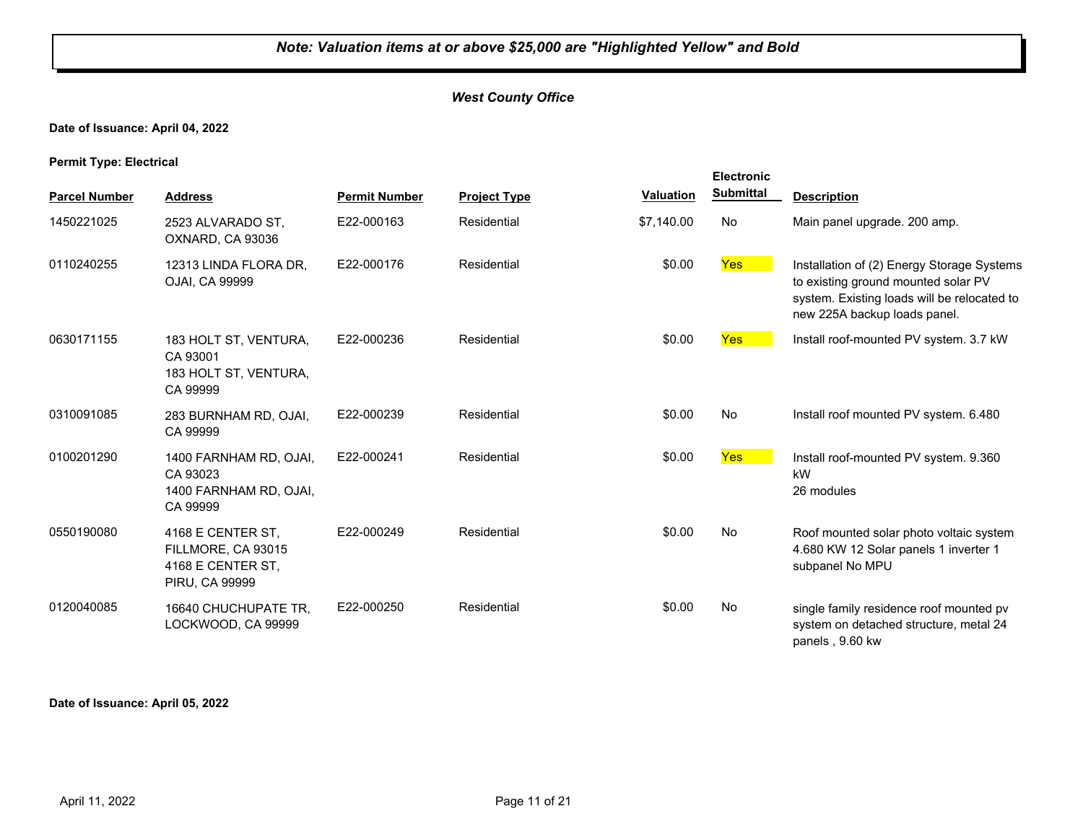## *West County Office*

## **Date of Issuance: April 04, 2022**

**Permit Type: Electrical**

|                      |                                                                                       |                      |                     |                  | <b>Electronic</b> |                                                                                                                                                                  |
|----------------------|---------------------------------------------------------------------------------------|----------------------|---------------------|------------------|-------------------|------------------------------------------------------------------------------------------------------------------------------------------------------------------|
| <b>Parcel Number</b> | <b>Address</b>                                                                        | <b>Permit Number</b> | <b>Project Type</b> | <b>Valuation</b> | <b>Submittal</b>  | <b>Description</b>                                                                                                                                               |
| 1450221025           | 2523 ALVARADO ST,<br>OXNARD, CA 93036                                                 | E22-000163           | Residential         | \$7,140.00       | No                | Main panel upgrade. 200 amp.                                                                                                                                     |
| 0110240255           | 12313 LINDA FLORA DR.<br>OJAI, CA 99999                                               | E22-000176           | Residential         | \$0.00           | Yes               | Installation of (2) Energy Storage Systems<br>to existing ground mounted solar PV<br>system. Existing loads will be relocated to<br>new 225A backup loads panel. |
| 0630171155           | 183 HOLT ST, VENTURA,<br>CA 93001<br>183 HOLT ST, VENTURA,<br>CA 99999                | E22-000236           | Residential         | \$0.00           | Yes               | Install roof-mounted PV system. 3.7 kW                                                                                                                           |
| 0310091085           | 283 BURNHAM RD, OJAI,<br>CA 99999                                                     | E22-000239           | Residential         | \$0.00           | No                | Install roof mounted PV system. 6.480                                                                                                                            |
| 0100201290           | 1400 FARNHAM RD, OJAI,<br>CA 93023<br>1400 FARNHAM RD, OJAI,<br>CA 99999              | E22-000241           | Residential         | \$0.00           | Yes               | Install roof-mounted PV system. 9.360<br>kW<br>26 modules                                                                                                        |
| 0550190080           | 4168 E CENTER ST,<br>FILLMORE, CA 93015<br>4168 E CENTER ST,<br><b>PIRU, CA 99999</b> | E22-000249           | Residential         | \$0.00           | No                | Roof mounted solar photo voltaic system<br>4.680 KW 12 Solar panels 1 inverter 1<br>subpanel No MPU                                                              |
| 0120040085           | 16640 CHUCHUPATE TR,<br>LOCKWOOD, CA 99999                                            | E22-000250           | Residential         | \$0.00           | No                | single family residence roof mounted pv<br>system on detached structure, metal 24<br>panels, 9.60 kw                                                             |

**Date of Issuance: April 05, 2022**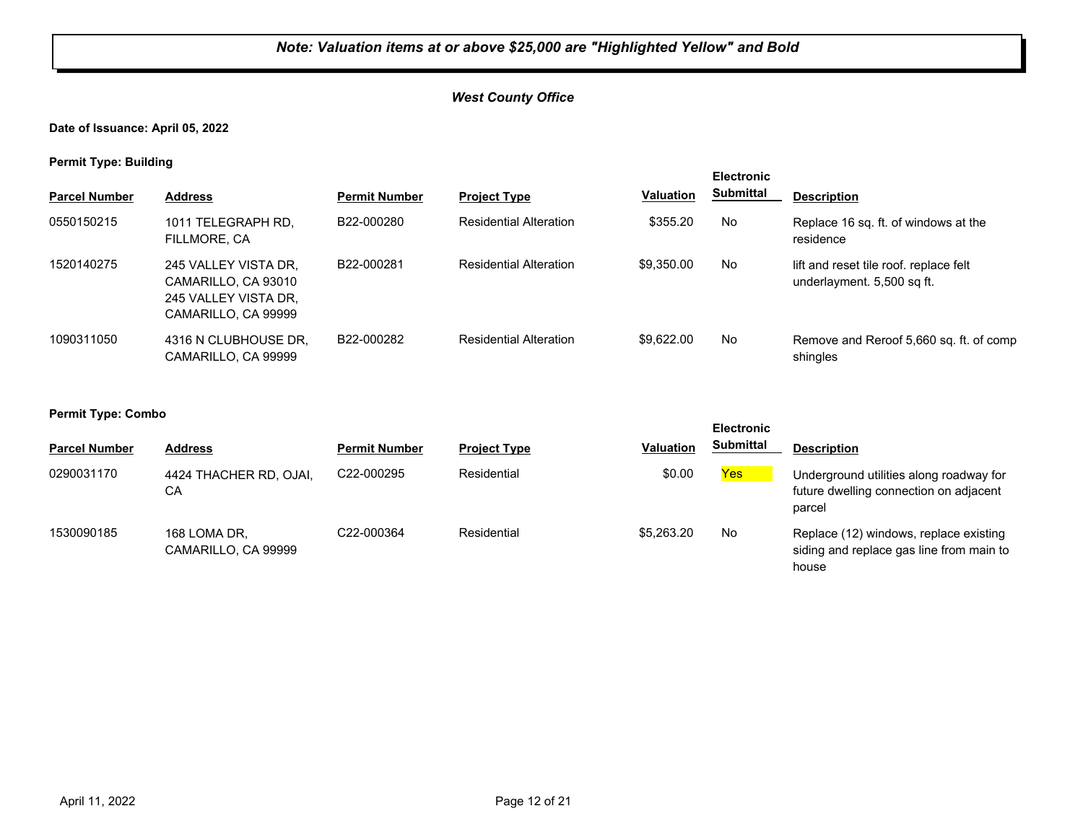## *West County Office*

**Date of Issuance: April 05, 2022**

**Permit Type: Building**

| . .                  |                                                                                            |                      |                               |                  | <b>Electronic</b> |                                                                      |
|----------------------|--------------------------------------------------------------------------------------------|----------------------|-------------------------------|------------------|-------------------|----------------------------------------------------------------------|
| <b>Parcel Number</b> | <b>Address</b>                                                                             | <b>Permit Number</b> | <b>Project Type</b>           | <b>Valuation</b> | <b>Submittal</b>  | <b>Description</b>                                                   |
| 0550150215           | 1011 TELEGRAPH RD,<br>FILLMORE, CA                                                         | B22-000280           | <b>Residential Alteration</b> | \$355.20         | No                | Replace 16 sq. ft. of windows at the<br>residence                    |
| 1520140275           | 245 VALLEY VISTA DR.<br>CAMARILLO, CA 93010<br>245 VALLEY VISTA DR.<br>CAMARILLO, CA 99999 | B22-000281           | <b>Residential Alteration</b> | \$9,350.00       | No                | lift and reset tile roof, replace felt<br>underlayment. 5,500 sq ft. |
| 1090311050           | 4316 N CLUBHOUSE DR.<br>CAMARILLO, CA 99999                                                | B22-000282           | <b>Residential Alteration</b> | \$9.622.00       | No                | Remove and Reroof 5,660 sq. ft. of comp<br>shingles                  |

|                      |                                     |                      |                     |                  | <b>Electronic</b> |                                                                                             |  |
|----------------------|-------------------------------------|----------------------|---------------------|------------------|-------------------|---------------------------------------------------------------------------------------------|--|
| <b>Parcel Number</b> | <b>Address</b>                      | <b>Permit Number</b> | <b>Project Type</b> | <b>Valuation</b> | <b>Submittal</b>  | <b>Description</b>                                                                          |  |
| 0290031170           | 4424 THACHER RD, OJAI,<br>СA        | C22-000295           | Residential         | \$0.00           | <b>Yes</b>        | Underground utilities along roadway for<br>future dwelling connection on adjacent<br>parcel |  |
| 1530090185           | 168 LOMA DR.<br>CAMARILLO, CA 99999 | C22-000364           | Residential         | \$5,263,20       | No                | Replace (12) windows, replace existing<br>siding and replace gas line from main to<br>house |  |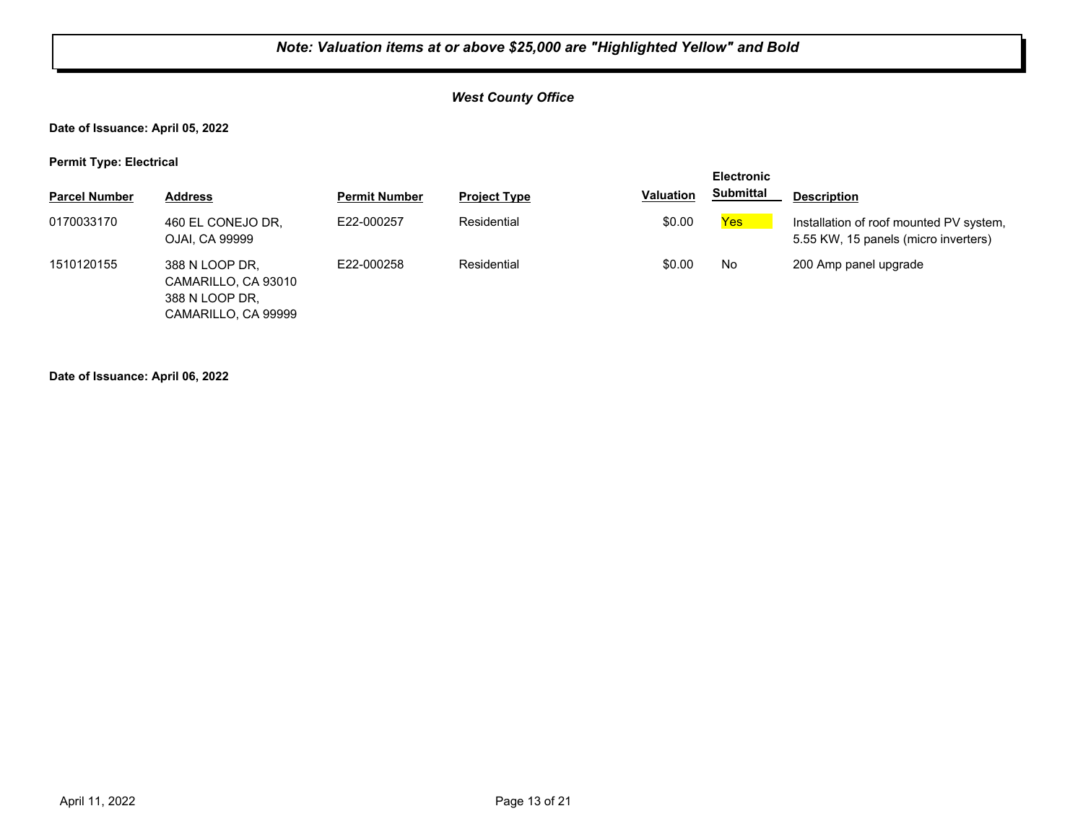## *West County Office*

**Date of Issuance: April 05, 2022**

**Permit Type: Electrical**

|                      |                                                                                |                      |                     |                  | <b>Electronic</b> |                                                                                 |
|----------------------|--------------------------------------------------------------------------------|----------------------|---------------------|------------------|-------------------|---------------------------------------------------------------------------------|
| <b>Parcel Number</b> | <b>Address</b>                                                                 | <b>Permit Number</b> | <b>Project Type</b> | <b>Valuation</b> | <b>Submittal</b>  | <b>Description</b>                                                              |
| 0170033170           | 460 EL CONEJO DR,<br>OJAI, CA 99999                                            | E22-000257           | Residential         | \$0.00           | Yes               | Installation of roof mounted PV system,<br>5.55 KW, 15 panels (micro inverters) |
| 1510120155           | 388 N LOOP DR.<br>CAMARILLO, CA 93010<br>388 N LOOP DR.<br>CAMARILLO, CA 99999 | E22-000258           | Residential         | \$0.00           | No.               | 200 Amp panel upgrade                                                           |

**Date of Issuance: April 06, 2022**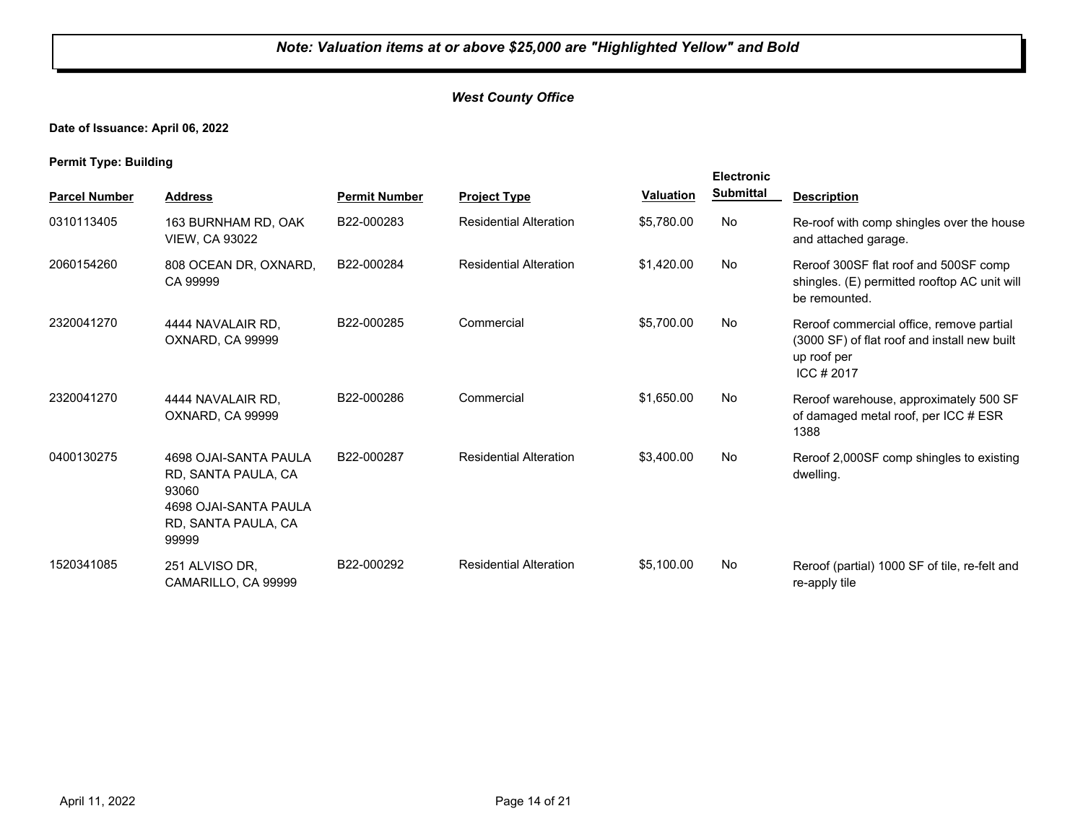## *West County Office*

**Date of Issuance: April 06, 2022**

**Permit Type: Building**

|                      |                                                                                                                |                      |                               |                  | <b>Electronic</b> |                                                                                                                        |
|----------------------|----------------------------------------------------------------------------------------------------------------|----------------------|-------------------------------|------------------|-------------------|------------------------------------------------------------------------------------------------------------------------|
| <b>Parcel Number</b> | <b>Address</b>                                                                                                 | <b>Permit Number</b> | <b>Project Type</b>           | <b>Valuation</b> | <b>Submittal</b>  | <b>Description</b>                                                                                                     |
| 0310113405           | 163 BURNHAM RD, OAK<br><b>VIEW. CA 93022</b>                                                                   | B22-000283           | <b>Residential Alteration</b> | \$5,780.00       | No                | Re-roof with comp shingles over the house<br>and attached garage.                                                      |
| 2060154260           | 808 OCEAN DR, OXNARD,<br>CA 99999                                                                              | B22-000284           | <b>Residential Alteration</b> | \$1,420.00       | No.               | Reroof 300SF flat roof and 500SF comp<br>shingles. (E) permitted rooftop AC unit will<br>be remounted.                 |
| 2320041270           | 4444 NAVALAIR RD.<br>OXNARD, CA 99999                                                                          | B22-000285           | Commercial                    | \$5,700.00       | No                | Reroof commercial office, remove partial<br>(3000 SF) of flat roof and install new built<br>up roof per<br>ICC $#2017$ |
| 2320041270           | 4444 NAVALAIR RD.<br>OXNARD, CA 99999                                                                          | B22-000286           | Commercial                    | \$1,650.00       | No                | Reroof warehouse, approximately 500 SF<br>of damaged metal roof, per ICC # ESR<br>1388                                 |
| 0400130275           | 4698 OJAI-SANTA PAULA<br>RD, SANTA PAULA, CA<br>93060<br>4698 OJAI-SANTA PAULA<br>RD, SANTA PAULA, CA<br>99999 | B22-000287           | <b>Residential Alteration</b> | \$3,400.00       | No                | Reroof 2,000SF comp shingles to existing<br>dwelling.                                                                  |
| 1520341085           | 251 ALVISO DR,<br>CAMARILLO, CA 99999                                                                          | B22-000292           | <b>Residential Alteration</b> | \$5.100.00       | No                | Reroof (partial) 1000 SF of tile, re-felt and<br>re-apply tile                                                         |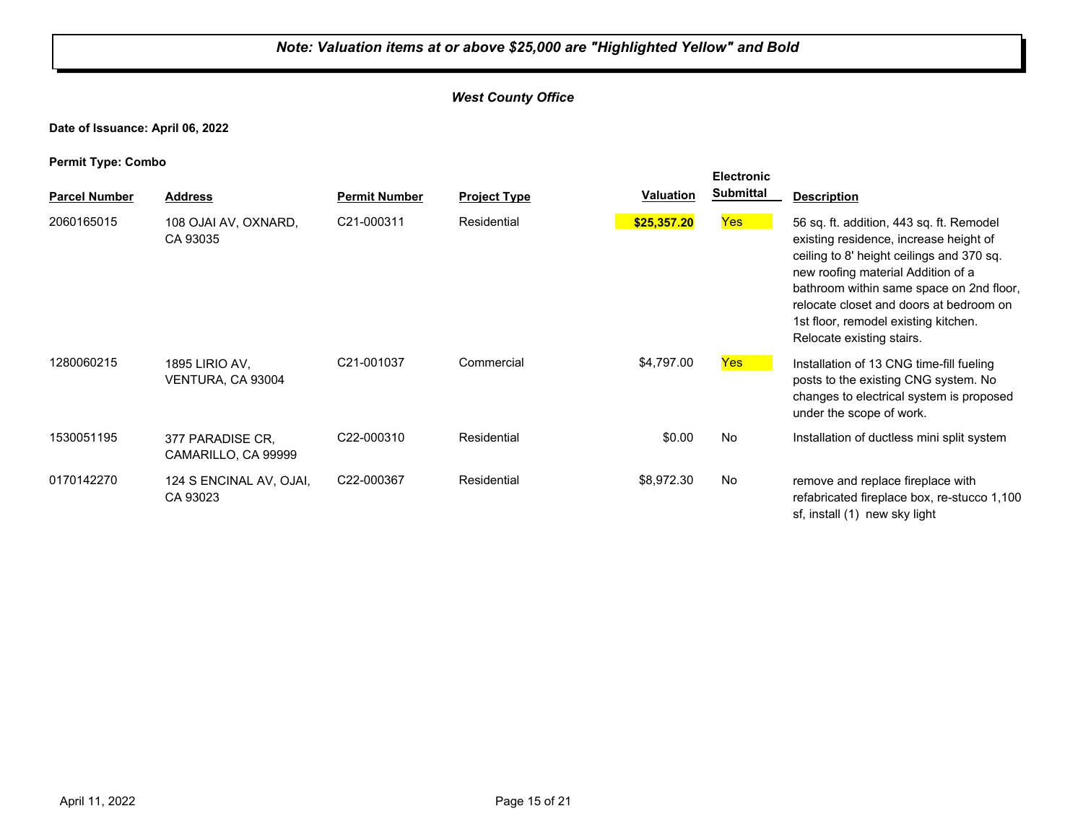## *West County Office*

**Date of Issuance: April 06, 2022**

| . .                  |                                         |                      |                     |                  | <b>Electronic</b> |                                                                                                                                                                                                                                                                                                                                   |
|----------------------|-----------------------------------------|----------------------|---------------------|------------------|-------------------|-----------------------------------------------------------------------------------------------------------------------------------------------------------------------------------------------------------------------------------------------------------------------------------------------------------------------------------|
| <b>Parcel Number</b> | <b>Address</b>                          | <b>Permit Number</b> | <b>Project Type</b> | <b>Valuation</b> | <b>Submittal</b>  | <b>Description</b>                                                                                                                                                                                                                                                                                                                |
| 2060165015           | 108 OJAI AV, OXNARD,<br>CA 93035        | C21-000311           | Residential         | \$25,357.20      | <b>Yes</b>        | 56 sq. ft. addition, 443 sq. ft. Remodel<br>existing residence, increase height of<br>ceiling to 8' height ceilings and 370 sq.<br>new roofing material Addition of a<br>bathroom within same space on 2nd floor,<br>relocate closet and doors at bedroom on<br>1st floor, remodel existing kitchen.<br>Relocate existing stairs. |
| 1280060215           | 1895 LIRIO AV,<br>VENTURA, CA 93004     | C21-001037           | Commercial          | \$4,797.00       | <b>Yes</b>        | Installation of 13 CNG time-fill fueling<br>posts to the existing CNG system. No<br>changes to electrical system is proposed<br>under the scope of work.                                                                                                                                                                          |
| 1530051195           | 377 PARADISE CR.<br>CAMARILLO, CA 99999 | C22-000310           | Residential         | \$0.00           | No                | Installation of ductless mini split system                                                                                                                                                                                                                                                                                        |
| 0170142270           | 124 S ENCINAL AV, OJAI,<br>CA 93023     | C22-000367           | Residential         | \$8,972.30       | No                | remove and replace fireplace with<br>refabricated fireplace box, re-stucco 1,100<br>sf, install (1) new sky light                                                                                                                                                                                                                 |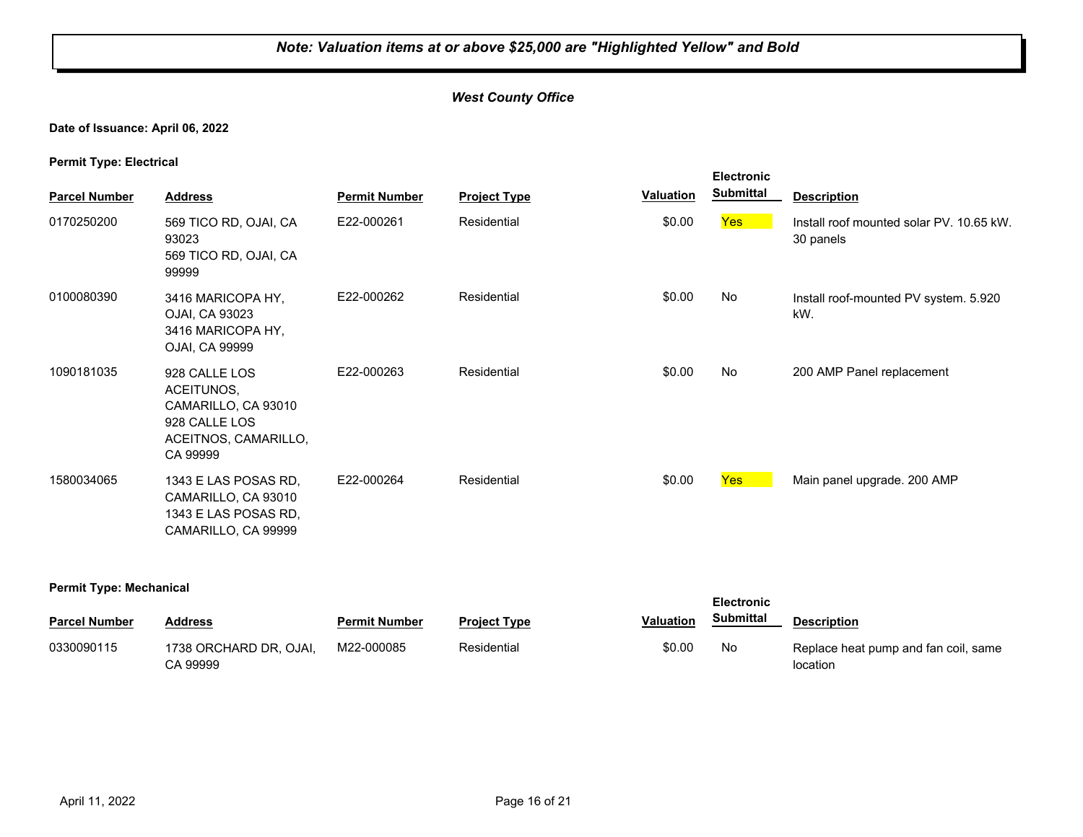## *West County Office*

#### **Date of Issuance: April 06, 2022**

**Permit Type: Electrical**

| . .<br><b>Parcel Number</b> | <b>Address</b>                                                                                          | <b>Permit Number</b> | <b>Project Type</b> | Valuation | <b>Electronic</b><br><b>Submittal</b> | <b>Description</b>                                    |
|-----------------------------|---------------------------------------------------------------------------------------------------------|----------------------|---------------------|-----------|---------------------------------------|-------------------------------------------------------|
| 0170250200                  | 569 TICO RD, OJAI, CA<br>93023<br>569 TICO RD, OJAI, CA<br>99999                                        | E22-000261           | Residential         | \$0.00    | Yes                                   | Install roof mounted solar PV. 10.65 kW.<br>30 panels |
| 0100080390                  | 3416 MARICOPA HY,<br>OJAI, CA 93023<br>3416 MARICOPA HY,<br>OJAI, CA 99999                              | E22-000262           | Residential         | \$0.00    | No                                    | Install roof-mounted PV system. 5.920<br>kW.          |
| 1090181035                  | 928 CALLE LOS<br>ACEITUNOS,<br>CAMARILLO, CA 93010<br>928 CALLE LOS<br>ACEITNOS, CAMARILLO,<br>CA 99999 | E22-000263           | Residential         | \$0.00    | No                                    | 200 AMP Panel replacement                             |
| 1580034065                  | 1343 E LAS POSAS RD,<br>CAMARILLO, CA 93010<br>1343 E LAS POSAS RD,<br>CAMARILLO, CA 99999              | E22-000264           | Residential         | \$0.00    | Yes                                   | Main panel upgrade. 200 AMP                           |

#### **Permit Type: Mechanical**

|                      |                                    |                      | <b>Electronic</b>   |                  |           |                                                  |
|----------------------|------------------------------------|----------------------|---------------------|------------------|-----------|--------------------------------------------------|
| <b>Parcel Number</b> | Address                            | <b>Permit Number</b> | <b>Project Type</b> | <b>Valuation</b> | Submittal | <b>Description</b>                               |
| 0330090115           | 1738 ORCHARD DR, OJAI,<br>CA 99999 | M22-000085           | Residential         | \$0.00           | No        | Replace heat pump and fan coil, same<br>location |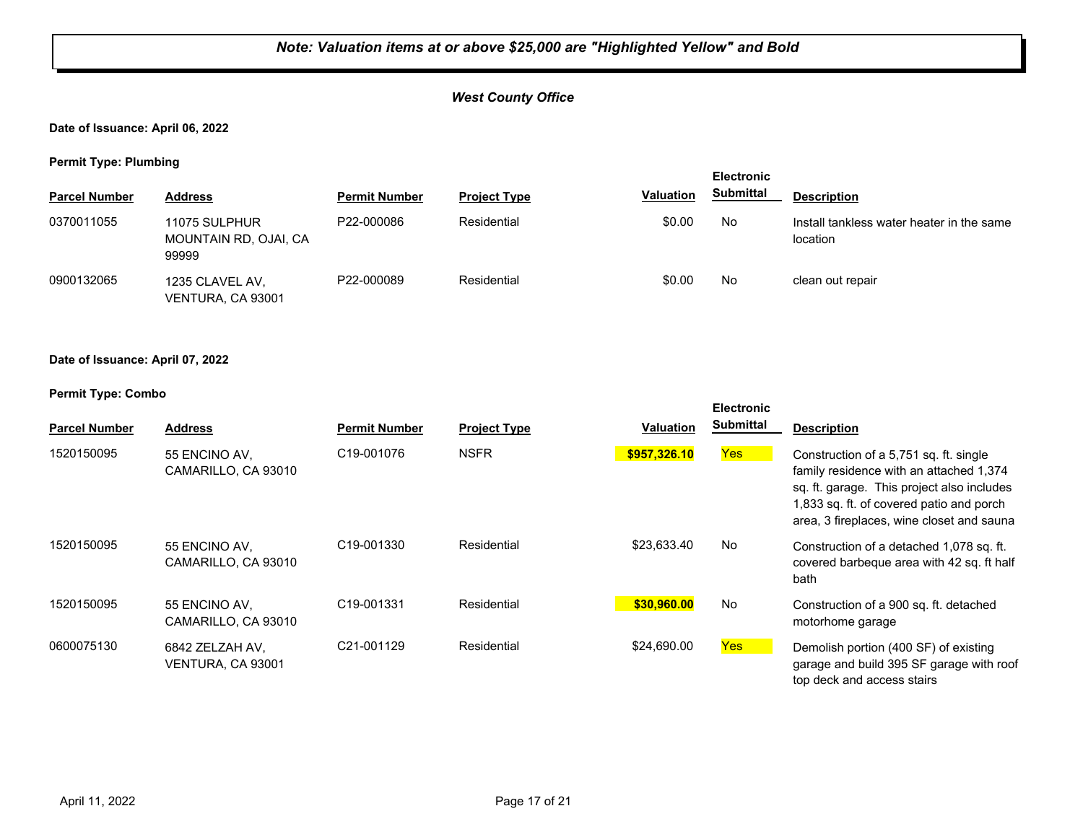## *West County Office*

**Date of Issuance: April 06, 2022**

**Permit Type: Plumbing**

| .                    | -                                               |                      |                     |                  | <b>Electronic</b> |                                                       |
|----------------------|-------------------------------------------------|----------------------|---------------------|------------------|-------------------|-------------------------------------------------------|
| <b>Parcel Number</b> | <b>Address</b>                                  | <b>Permit Number</b> | <b>Project Type</b> | <b>Valuation</b> | <b>Submittal</b>  | <b>Description</b>                                    |
| 0370011055           | 11075 SULPHUR<br>MOUNTAIN RD, OJAI, CA<br>99999 | P22-000086           | Residential         | \$0.00           | No                | Install tankless water heater in the same<br>location |
| 0900132065           | 1235 CLAVEL AV,<br>VENTURA, CA 93001            | P22-000089           | Residential         | \$0.00           | No                | clean out repair                                      |

#### **Date of Issuance: April 07, 2022**

| <b>Parcel Number</b> | <b>Address</b>                       | <b>Permit Number</b>    | <b>Project Type</b> | <b>Valuation</b> | <b>Electronic</b><br><b>Submittal</b> | <b>Description</b>                                                                                                                                                                                                       |
|----------------------|--------------------------------------|-------------------------|---------------------|------------------|---------------------------------------|--------------------------------------------------------------------------------------------------------------------------------------------------------------------------------------------------------------------------|
| 1520150095           | 55 ENCINO AV.<br>CAMARILLO, CA 93010 | C <sub>19</sub> -001076 | <b>NSFR</b>         | \$957,326.10     | Yes                                   | Construction of a 5,751 sq. ft. single<br>family residence with an attached 1,374<br>sq. ft. garage. This project also includes<br>1,833 sq. ft. of covered patio and porch<br>area, 3 fireplaces, wine closet and sauna |
| 1520150095           | 55 ENCINO AV.<br>CAMARILLO, CA 93010 | C <sub>19</sub> -001330 | Residential         | \$23,633.40      | No                                    | Construction of a detached 1,078 sq. ft.<br>covered barbeque area with 42 sq. ft half<br>bath                                                                                                                            |
| 1520150095           | 55 ENCINO AV.<br>CAMARILLO, CA 93010 | C19-001331              | Residential         | \$30,960.00      | No                                    | Construction of a 900 sq. ft. detached<br>motorhome garage                                                                                                                                                               |
| 0600075130           | 6842 ZELZAH AV,<br>VENTURA, CA 93001 | C <sub>21</sub> -001129 | Residential         | \$24,690.00      | Yes                                   | Demolish portion (400 SF) of existing<br>garage and build 395 SF garage with roof<br>top deck and access stairs                                                                                                          |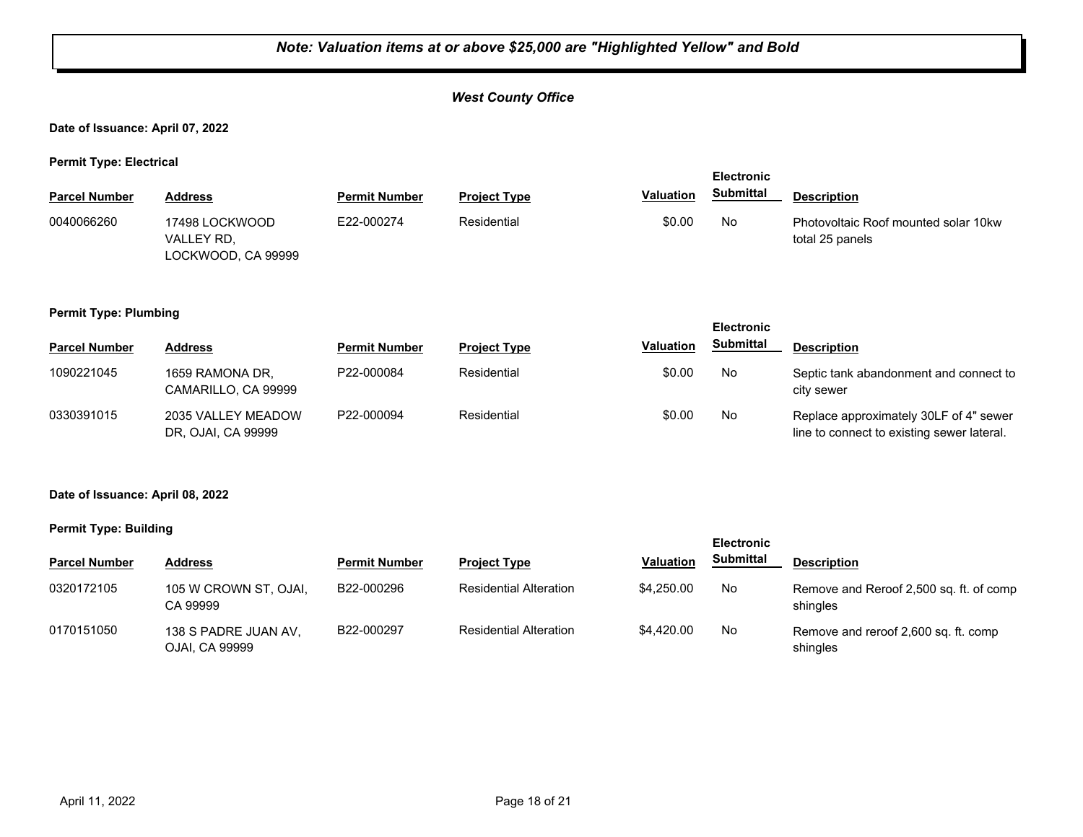## *West County Office*

**Date of Issuance: April 07, 2022**

**Permit Type: Electrical**

|                      |                                                    |                      | <b>Electronic</b>   |                  |                  |                                                         |
|----------------------|----------------------------------------------------|----------------------|---------------------|------------------|------------------|---------------------------------------------------------|
| <b>Parcel Number</b> | <b>Address</b>                                     | <b>Permit Number</b> | <b>Project Type</b> | <b>Valuation</b> | <b>Submittal</b> | <b>Description</b>                                      |
| 0040066260           | 17498 LOCKWOOD<br>VALLEY RD.<br>LOCKWOOD, CA 99999 | E22-000274           | Residential         | \$0.00           | No               | Photovoltaic Roof mounted solar 10kw<br>total 25 panels |

#### **Permit Type: Plumbing**

| . .                  |                                          |                      |                     |                  | <b>Electronic</b> |                                                                                      |
|----------------------|------------------------------------------|----------------------|---------------------|------------------|-------------------|--------------------------------------------------------------------------------------|
| <b>Parcel Number</b> | <b>Address</b>                           | <b>Permit Number</b> | <b>Project Type</b> | <b>Valuation</b> | <b>Submittal</b>  | <b>Description</b>                                                                   |
| 1090221045           | 1659 RAMONA DR.<br>CAMARILLO, CA 99999   | P22-000084           | Residential         | \$0.00           | No                | Septic tank abandonment and connect to<br>city sewer                                 |
| 0330391015           | 2035 VALLEY MEADOW<br>DR, OJAI, CA 99999 | P22-000094           | Residential         | \$0.00           | No                | Replace approximately 30LF of 4" sewer<br>line to connect to existing sewer lateral. |

#### **Date of Issuance: April 08, 2022**

#### **Permit Type: Building**

|                      |                                        |                      |                               |                  | <b>Electronic</b> |                                                     |  |
|----------------------|----------------------------------------|----------------------|-------------------------------|------------------|-------------------|-----------------------------------------------------|--|
| <b>Parcel Number</b> | <b>Address</b>                         | <b>Permit Number</b> | <b>Project Type</b>           | <b>Valuation</b> | <b>Submittal</b>  | <b>Description</b>                                  |  |
| 0320172105           | 105 W CROWN ST, OJAI,<br>CA 99999      | B22-000296           | <b>Residential Alteration</b> | \$4,250,00       | No                | Remove and Reroof 2,500 sq. ft. of comp<br>shingles |  |
| 0170151050           | 138 S PADRE JUAN AV,<br>OJAI, CA 99999 | B22-000297           | <b>Residential Alteration</b> | \$4.420.00       | No                | Remove and reroof 2,600 sq. ft. comp<br>shingles    |  |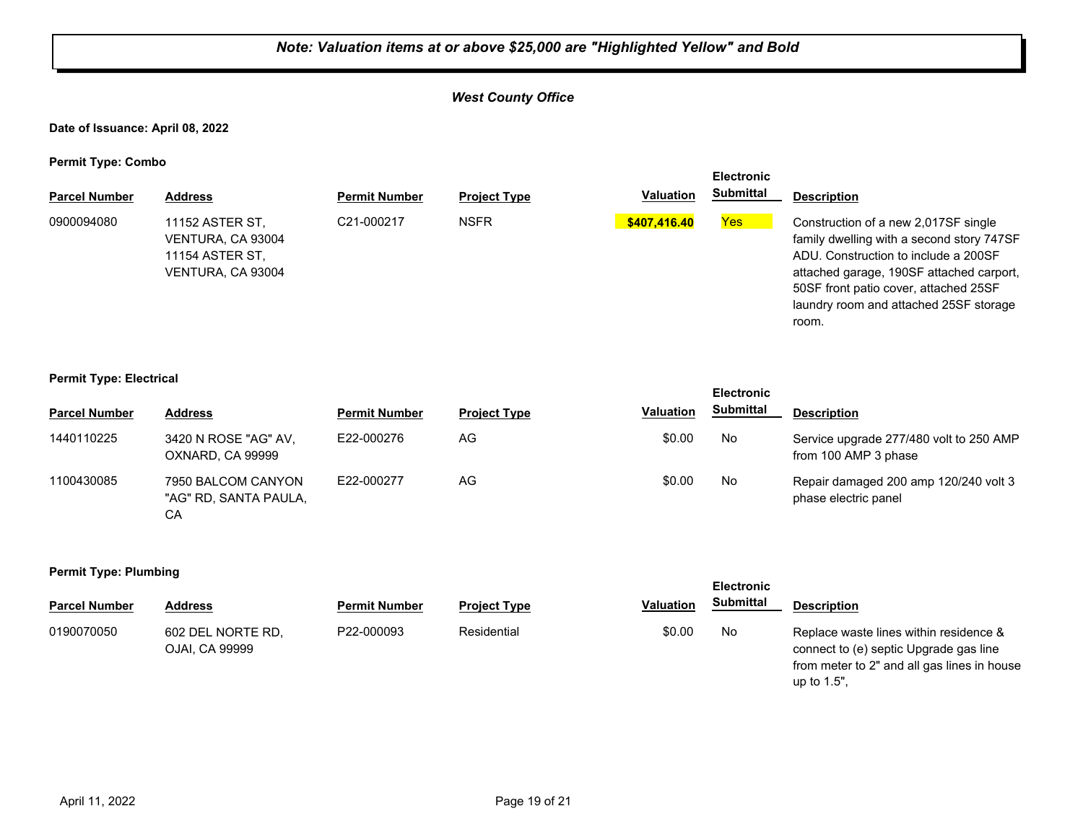## *West County Office*

#### **Date of Issuance: April 08, 2022**

**Permit Type: Combo**

|                      |                                                                              |                      |                     |                  | <b>Electronic</b> |                                                                                                                                                                                                                                                                   |
|----------------------|------------------------------------------------------------------------------|----------------------|---------------------|------------------|-------------------|-------------------------------------------------------------------------------------------------------------------------------------------------------------------------------------------------------------------------------------------------------------------|
| <b>Parcel Number</b> | <b>Address</b>                                                               | <b>Permit Number</b> | <b>Project Type</b> | <b>Valuation</b> | <b>Submittal</b>  | <b>Description</b>                                                                                                                                                                                                                                                |
| 0900094080           | 11152 ASTER ST,<br>VENTURA, CA 93004<br>11154 ASTER ST.<br>VENTURA, CA 93004 | C21-000217           | <b>NSFR</b>         | \$407,416.40     | Yes               | Construction of a new 2,017SF single<br>family dwelling with a second story 747SF<br>ADU. Construction to include a 200SF<br>attached garage, 190SF attached carport,<br>50SF front patio cover, attached 25SF<br>laundry room and attached 25SF storage<br>room. |

#### **Permit Type: Electrical**

|                      |                                                   |                      |                     |                  | <b>Electronic</b> |                                                                 |
|----------------------|---------------------------------------------------|----------------------|---------------------|------------------|-------------------|-----------------------------------------------------------------|
| <b>Parcel Number</b> | <b>Address</b>                                    | <b>Permit Number</b> | <b>Project Type</b> | <b>Valuation</b> | <b>Submittal</b>  | <b>Description</b>                                              |
| 1440110225           | 3420 N ROSE "AG" AV,<br>OXNARD, CA 99999          | E22-000276           | AG                  | \$0.00           | No                | Service upgrade 277/480 volt to 250 AMP<br>from 100 AMP 3 phase |
| 1100430085           | 7950 BALCOM CANYON<br>"AG" RD, SANTA PAULA,<br>СA | E22-000277           | AG                  | \$0.00           | No                | Repair damaged 200 amp 120/240 volt 3<br>phase electric panel   |

#### **Permit Type: Plumbing**

| <b>Parcel Number</b> | Address                             | <b>Permit Number</b> | <b>Project Type</b> | <b>Valuation</b> | Submittal | <b>Description</b>                                                                                                                             |
|----------------------|-------------------------------------|----------------------|---------------------|------------------|-----------|------------------------------------------------------------------------------------------------------------------------------------------------|
| 0190070050           | 602 DEL NORTE RD.<br>OJAI, CA 99999 | P22-000093           | Residential         | \$0.00           | No        | Replace waste lines within residence &<br>connect to (e) septic Upgrade gas line<br>from meter to 2" and all gas lines in house<br>up to 1.5". |

**Electronic**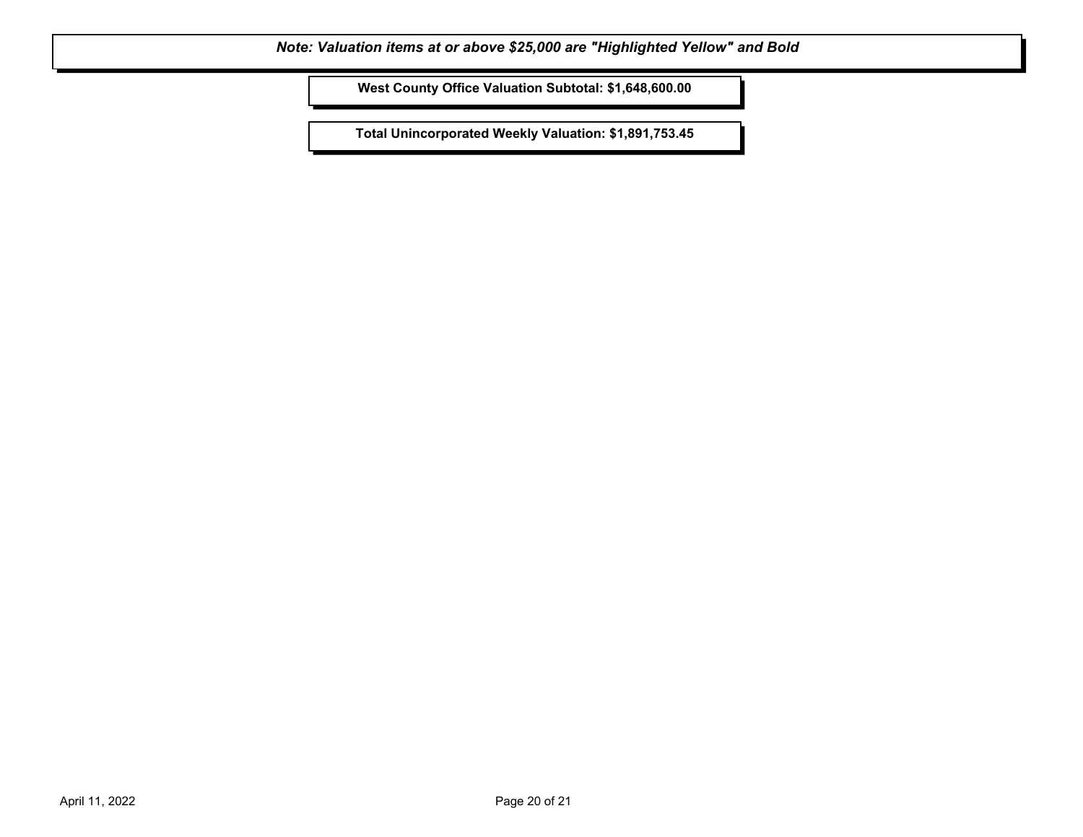**West County Office Valuation Subtotal: \$1,648,600.00**

**Total Unincorporated Weekly Valuation: \$1,891,753.45**